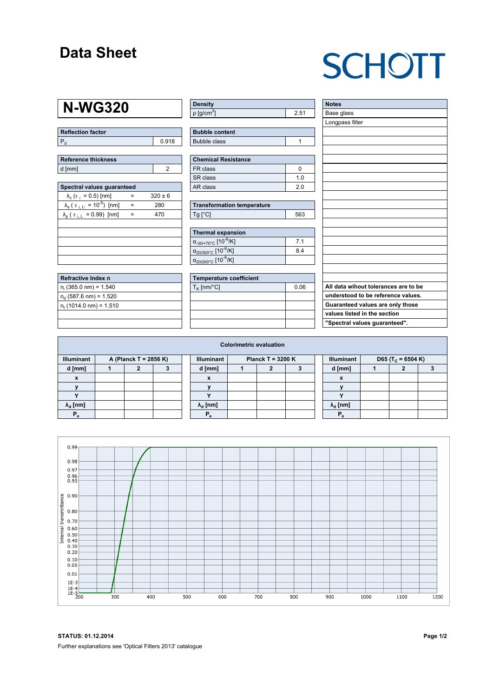### **Data Sheet**

# **SCHOTT**

### **N-WG320**

| Reflection factor |       |
|-------------------|-------|
|                   | 0.918 |

| <b>Reference thickness</b> |  |  |  |  |  |  |  |
|----------------------------|--|--|--|--|--|--|--|
| d [mm]                     |  |  |  |  |  |  |  |

| Spectral values quaranteed                             |     |             |  |  |  |  |  |  |  |
|--------------------------------------------------------|-----|-------------|--|--|--|--|--|--|--|
| $\lambda_c$ ( $\tau_i$ = 0.5) [nm]                     |     | $320 \pm 6$ |  |  |  |  |  |  |  |
| $\lambda_{\rm s}$ ( $\tau_{\rm i, U} = 10^{-5}$ ) [nm] | $=$ | 280         |  |  |  |  |  |  |  |
| $\lambda_{\rm p}$ ( $\tau_{\rm i, L}$ = 0.99) [nm]     | =   | 470         |  |  |  |  |  |  |  |
|                                                        |     |             |  |  |  |  |  |  |  |
|                                                        |     |             |  |  |  |  |  |  |  |
|                                                        |     |             |  |  |  |  |  |  |  |
|                                                        |     |             |  |  |  |  |  |  |  |
|                                                        |     |             |  |  |  |  |  |  |  |

| Refractive Index n              |  |
|---------------------------------|--|
| $n_i$ (365.0 nm) = 1.540        |  |
| $n_d$ (587.6 nm) = 1.520        |  |
| $n_{\rm t}$ (1014.0 nm) = 1.510 |  |
|                                 |  |

| <b>Density</b>              |      |
|-----------------------------|------|
| $\rho$ [g/cm <sup>3</sup> ] | 2.51 |

| <b>Bubble content</b> |  |
|-----------------------|--|
| <b>Bubble class</b>   |  |

| Chemical Resistance |     |  |  |  |  |  |
|---------------------|-----|--|--|--|--|--|
| FR class            |     |  |  |  |  |  |
| SR class            | 1 በ |  |  |  |  |  |
| l AR class          | 20  |  |  |  |  |  |

| <b>Transformation temperature</b> |     |
|-----------------------------------|-----|
| $Tg$ [ $^{\circ}$ C]              | 563 |

| Thermal expansion                                 |                |  |  |  |  |  |  |
|---------------------------------------------------|----------------|--|--|--|--|--|--|
| $\alpha_{.30/+70\degree}$ C [10 <sup>-6</sup> /K] | 7 <sub>1</sub> |  |  |  |  |  |  |
| $\alpha_{20/300^{\circ}C}$ [10 <sup>-6</sup> /K]  | 84             |  |  |  |  |  |  |
| $\alpha_{20/200^{\circ}C}$ [10 <sup>-6</sup> /K]  |                |  |  |  |  |  |  |

| Temperature coefficient |      |  |  |  |  |  |  |
|-------------------------|------|--|--|--|--|--|--|
| $T_{\rm K}$ [nm/°C]     | 0.06 |  |  |  |  |  |  |
|                         |      |  |  |  |  |  |  |
|                         |      |  |  |  |  |  |  |
|                         |      |  |  |  |  |  |  |
|                         |      |  |  |  |  |  |  |

| <b>Notes</b>                         |
|--------------------------------------|
| Base glass                           |
| Longpass filter                      |
|                                      |
|                                      |
|                                      |
|                                      |
|                                      |
|                                      |
|                                      |
|                                      |
|                                      |
|                                      |
|                                      |
|                                      |
|                                      |
|                                      |
|                                      |
|                                      |
|                                      |
|                                      |
|                                      |
| All data wihout tolerances are to be |
| understood to be reference values.   |
| Guaranteed values are only those     |
| values listed in the section         |
| "Spectral values guaranteed".        |
|                                      |

| <b>Colorimetric evaluation</b>             |  |   |  |  |                                          |  |  |  |  |                                                    |  |  |  |
|--------------------------------------------|--|---|--|--|------------------------------------------|--|--|--|--|----------------------------------------------------|--|--|--|
| <b>Illuminant</b><br>A (Planck T = 2856 K) |  |   |  |  | <b>Illuminant</b><br>Planck T = $3200 K$ |  |  |  |  | <b>Illuminant</b><br>D65 (T <sub>c</sub> = 6504 K) |  |  |  |
| d [mm]                                     |  | , |  |  | d [mm]                                   |  |  |  |  | d [mm]                                             |  |  |  |
| $\mathbf{x}$                               |  |   |  |  | X                                        |  |  |  |  | X                                                  |  |  |  |
|                                            |  |   |  |  |                                          |  |  |  |  |                                                    |  |  |  |
|                                            |  |   |  |  |                                          |  |  |  |  |                                                    |  |  |  |
| $\lambda_{\rm d}$ [nm]                     |  |   |  |  | $\lambda_{\rm d}$ [nm]                   |  |  |  |  | $\lambda_{\rm d}$ [nm]                             |  |  |  |
| $P_{\alpha}$                               |  |   |  |  | $P_{\alpha}$                             |  |  |  |  | $P_{\alpha}$                                       |  |  |  |